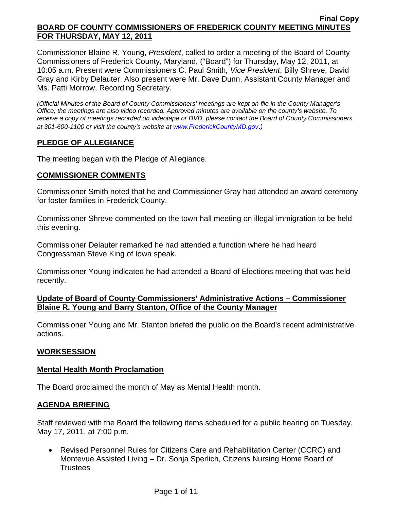Commissioner Blaine R. Young, *President*, called to order a meeting of the Board of County Commissioners of Frederick County, Maryland, ("Board") for Thursday, May 12, 2011, at 10:05 a.m. Present were Commissioners C. Paul Smith*, Vice President*; Billy Shreve, David Gray and Kirby Delauter. Also present were Mr. Dave Dunn, Assistant County Manager and Ms. Patti Morrow, Recording Secretary.

*(Official Minutes of the Board of County Commissioners' meetings are kept on file in the County Manager's Office; the meetings are also video recorded. Approved minutes are available on the county's website. To receive a copy of meetings recorded on videotape or DVD, please contact the Board of County Commissioners at 301-600-1100 or visit the county's website at [www.FrederickCountyMD.gov](http://www.frederickcountymd.gov/)*.*)* 

# **PLEDGE OF ALLEGIANCE**

The meeting began with the Pledge of Allegiance.

### **COMMISSIONER COMMENTS**

Commissioner Smith noted that he and Commissioner Gray had attended an award ceremony for foster families in Frederick County.

Commissioner Shreve commented on the town hall meeting on illegal immigration to be held this evening.

Commissioner Delauter remarked he had attended a function where he had heard Congressman Steve King of Iowa speak.

Commissioner Young indicated he had attended a Board of Elections meeting that was held recently.

# **Update of Board of County Commissioners' Administrative Actions – Commissioner Blaine R. Young and Barry Stanton, Office of the County Manager**

Commissioner Young and Mr. Stanton briefed the public on the Board's recent administrative actions.

### **WORKSESSION**

### **Mental Health Month Proclamation**

The Board proclaimed the month of May as Mental Health month.

### **AGENDA BRIEFING**

Staff reviewed with the Board the following items scheduled for a public hearing on Tuesday, May 17, 2011, at 7:00 p.m.

• Revised Personnel Rules for Citizens Care and Rehabilitation Center (CCRC) and Montevue Assisted Living – Dr. Sonja Sperlich, Citizens Nursing Home Board of **Trustees**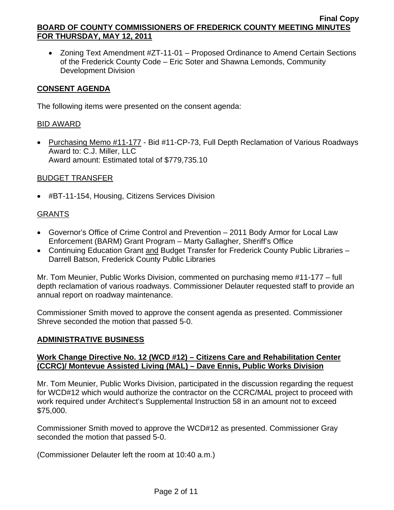• Zoning Text Amendment #ZT-11-01 – Proposed Ordinance to Amend Certain Sections of the Frederick County Code – Eric Soter and Shawna Lemonds, Community Development Division

## **CONSENT AGENDA**

The following items were presented on the consent agenda:

## BID AWARD

• Purchasing Memo #11-177 - Bid #11-CP-73, Full Depth Reclamation of Various Roadways Award to: C.J. Miller, LLC Award amount: Estimated total of \$779,735.10

# BUDGET TRANSFER

• #BT-11-154, Housing, Citizens Services Division

# GRANTS

- Governor's Office of Crime Control and Prevention 2011 Body Armor for Local Law Enforcement (BARM) Grant Program – Marty Gallagher, Sheriff's Office
- Continuing Education Grant and Budget Transfer for Frederick County Public Libraries Darrell Batson, Frederick County Public Libraries

Mr. Tom Meunier, Public Works Division, commented on purchasing memo #11-177 – full depth reclamation of various roadways. Commissioner Delauter requested staff to provide an annual report on roadway maintenance.

Commissioner Smith moved to approve the consent agenda as presented. Commissioner Shreve seconded the motion that passed 5-0.

### **ADMINISTRATIVE BUSINESS**

# **Work Change Directive No. 12 (WCD #12) – Citizens Care and Rehabilitation Center (CCRC)/ Montevue Assisted Living (MAL) – Dave Ennis, Public Works Division**

Mr. Tom Meunier, Public Works Division, participated in the discussion regarding the request for WCD#12 which would authorize the contractor on the CCRC/MAL project to proceed with work required under Architect's Supplemental Instruction 58 in an amount not to exceed \$75,000.

Commissioner Smith moved to approve the WCD#12 as presented. Commissioner Gray seconded the motion that passed 5-0.

(Commissioner Delauter left the room at 10:40 a.m.)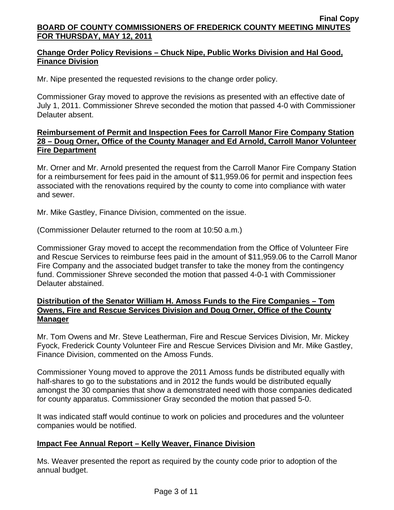# **Change Order Policy Revisions – Chuck Nipe, Public Works Division and Hal Good, Finance Division**

Mr. Nipe presented the requested revisions to the change order policy.

Commissioner Gray moved to approve the revisions as presented with an effective date of July 1, 2011. Commissioner Shreve seconded the motion that passed 4-0 with Commissioner Delauter absent.

## **Reimbursement of Permit and Inspection Fees for Carroll Manor Fire Company Station 28 – Doug Orner, Office of the County Manager and Ed Arnold, Carroll Manor Volunteer Fire Department**

Mr. Orner and Mr. Arnold presented the request from the Carroll Manor Fire Company Station for a reimbursement for fees paid in the amount of \$11,959.06 for permit and inspection fees associated with the renovations required by the county to come into compliance with water and sewer.

Mr. Mike Gastley, Finance Division, commented on the issue.

(Commissioner Delauter returned to the room at 10:50 a.m.)

Commissioner Gray moved to accept the recommendation from the Office of Volunteer Fire and Rescue Services to reimburse fees paid in the amount of \$11,959.06 to the Carroll Manor Fire Company and the associated budget transfer to take the money from the contingency fund. Commissioner Shreve seconded the motion that passed 4-0-1 with Commissioner Delauter abstained.

## **Distribution of the Senator William H. Amoss Funds to the Fire Companies – Tom Owens, Fire and Rescue Services Division and Doug Orner, Office of the County Manager**

Mr. Tom Owens and Mr. Steve Leatherman, Fire and Rescue Services Division, Mr. Mickey Fyock, Frederick County Volunteer Fire and Rescue Services Division and Mr. Mike Gastley, Finance Division, commented on the Amoss Funds.

Commissioner Young moved to approve the 2011 Amoss funds be distributed equally with half-shares to go to the substations and in 2012 the funds would be distributed equally amongst the 30 companies that show a demonstrated need with those companies dedicated for county apparatus. Commissioner Gray seconded the motion that passed 5-0.

It was indicated staff would continue to work on policies and procedures and the volunteer companies would be notified.

# **Impact Fee Annual Report – Kelly Weaver, Finance Division**

Ms. Weaver presented the report as required by the county code prior to adoption of the annual budget.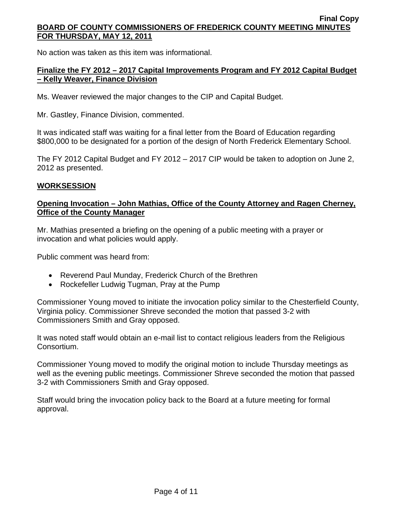No action was taken as this item was informational.

# **Finalize the FY 2012 – 2017 Capital Improvements Program and FY 2012 Capital Budget – Kelly Weaver, Finance Division**

Ms. Weaver reviewed the major changes to the CIP and Capital Budget.

Mr. Gastley, Finance Division, commented.

It was indicated staff was waiting for a final letter from the Board of Education regarding \$800,000 to be designated for a portion of the design of North Frederick Elementary School.

The FY 2012 Capital Budget and FY 2012 – 2017 CIP would be taken to adoption on June 2, 2012 as presented.

### **WORKSESSION**

### **Opening Invocation – John Mathias, Office of the County Attorney and Ragen Cherney, Office of the County Manager**

Mr. Mathias presented a briefing on the opening of a public meeting with a prayer or invocation and what policies would apply.

Public comment was heard from:

- Reverend Paul Munday, Frederick Church of the Brethren
- Rockefeller Ludwig Tugman, Pray at the Pump

Commissioner Young moved to initiate the invocation policy similar to the Chesterfield County, Virginia policy. Commissioner Shreve seconded the motion that passed 3-2 with Commissioners Smith and Gray opposed.

It was noted staff would obtain an e-mail list to contact religious leaders from the Religious Consortium.

Commissioner Young moved to modify the original motion to include Thursday meetings as well as the evening public meetings. Commissioner Shreve seconded the motion that passed 3-2 with Commissioners Smith and Gray opposed.

Staff would bring the invocation policy back to the Board at a future meeting for formal approval.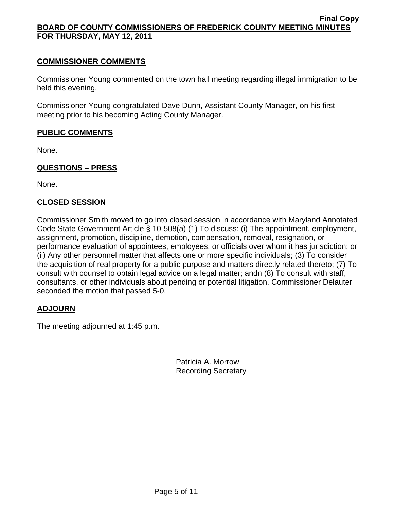## **COMMISSIONER COMMENTS**

Commissioner Young commented on the town hall meeting regarding illegal immigration to be held this evening.

Commissioner Young congratulated Dave Dunn, Assistant County Manager, on his first meeting prior to his becoming Acting County Manager.

# **PUBLIC COMMENTS**

None.

# **QUESTIONS – PRESS**

None.

### **CLOSED SESSION**

Commissioner Smith moved to go into closed session in accordance with Maryland Annotated Code State Government Article § 10-508(a) (1) To discuss: (i) The appointment, employment, assignment, promotion, discipline, demotion, compensation, removal, resignation, or performance evaluation of appointees, employees, or officials over whom it has jurisdiction; or (ii) Any other personnel matter that affects one or more specific individuals; (3) To consider the acquisition of real property for a public purpose and matters directly related thereto; (7) To consult with counsel to obtain legal advice on a legal matter; andn (8) To consult with staff, consultants, or other individuals about pending or potential litigation. Commissioner Delauter seconded the motion that passed 5-0.

### **ADJOURN**

The meeting adjourned at 1:45 p.m.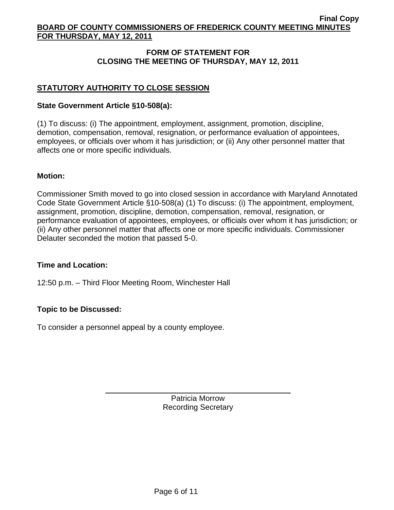# **FORM OF STATEMENT FOR CLOSING THE MEETING OF THURSDAY, MAY 12, 2011**

# **STATUTORY AUTHORITY TO CLOSE SESSION**

#### **State Government Article §10-508(a):**

(1) To discuss: (i) The appointment, employment, assignment, promotion, discipline, demotion, compensation, removal, resignation, or performance evaluation of appointees, employees, or officials over whom it has jurisdiction; or (ii) Any other personnel matter that affects one or more specific individuals.

#### **Motion:**

Commissioner Smith moved to go into closed session in accordance with Maryland Annotated Code State Government Article §10-508(a) (1) To discuss: (i) The appointment, employment, assignment, promotion, discipline, demotion, compensation, removal, resignation, or performance evaluation of appointees, employees, or officials over whom it has jurisdiction; or (ii) Any other personnel matter that affects one or more specific individuals. Commissioner Delauter seconded the motion that passed 5-0.

#### **Time and Location:**

12:50 p.m. – Third Floor Meeting Room, Winchester Hall

### **Topic to be Discussed:**

To consider a personnel appeal by a county employee.

 $\overline{a}$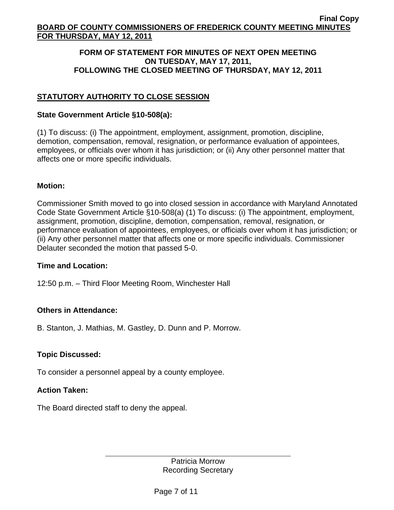### **FORM OF STATEMENT FOR MINUTES OF NEXT OPEN MEETING ON TUESDAY, MAY 17, 2011, FOLLOWING THE CLOSED MEETING OF THURSDAY, MAY 12, 2011**

# **STATUTORY AUTHORITY TO CLOSE SESSION**

### **State Government Article §10-508(a):**

(1) To discuss: (i) The appointment, employment, assignment, promotion, discipline, demotion, compensation, removal, resignation, or performance evaluation of appointees, employees, or officials over whom it has jurisdiction; or (ii) Any other personnel matter that affects one or more specific individuals.

### **Motion:**

Commissioner Smith moved to go into closed session in accordance with Maryland Annotated Code State Government Article §10-508(a) (1) To discuss: (i) The appointment, employment, assignment, promotion, discipline, demotion, compensation, removal, resignation, or performance evaluation of appointees, employees, or officials over whom it has jurisdiction; or (ii) Any other personnel matter that affects one or more specific individuals. Commissioner Delauter seconded the motion that passed 5-0.

### **Time and Location:**

12:50 p.m. – Third Floor Meeting Room, Winchester Hall

### **Others in Attendance:**

B. Stanton, J. Mathias, M. Gastley, D. Dunn and P. Morrow.

### **Topic Discussed:**

To consider a personnel appeal by a county employee.

### **Action Taken:**

The Board directed staff to deny the appeal.

 $\overline{a}$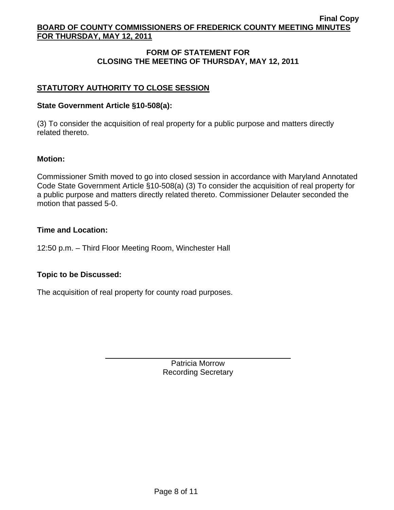# **FORM OF STATEMENT FOR CLOSING THE MEETING OF THURSDAY, MAY 12, 2011**

# **STATUTORY AUTHORITY TO CLOSE SESSION**

#### **State Government Article §10-508(a):**

(3) To consider the acquisition of real property for a public purpose and matters directly related thereto.

#### **Motion:**

Commissioner Smith moved to go into closed session in accordance with Maryland Annotated Code State Government Article §10-508(a) (3) To consider the acquisition of real property for a public purpose and matters directly related thereto. Commissioner Delauter seconded the motion that passed 5-0.

#### **Time and Location:**

12:50 p.m. – Third Floor Meeting Room, Winchester Hall

### **Topic to be Discussed:**

The acquisition of real property for county road purposes.

 $\overline{a}$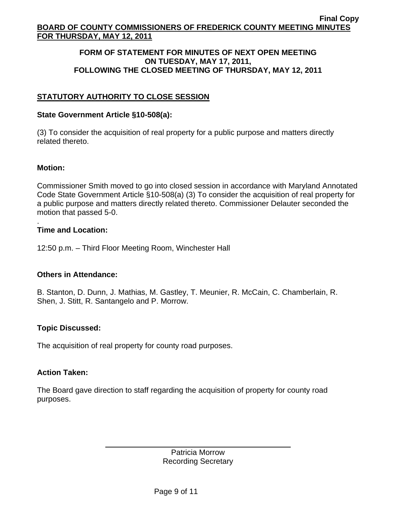#### **FORM OF STATEMENT FOR MINUTES OF NEXT OPEN MEETING ON TUESDAY, MAY 17, 2011, FOLLOWING THE CLOSED MEETING OF THURSDAY, MAY 12, 2011**

# **STATUTORY AUTHORITY TO CLOSE SESSION**

### **State Government Article §10-508(a):**

(3) To consider the acquisition of real property for a public purpose and matters directly related thereto.

#### **Motion:**

Commissioner Smith moved to go into closed session in accordance with Maryland Annotated Code State Government Article §10-508(a) (3) To consider the acquisition of real property for a public purpose and matters directly related thereto. Commissioner Delauter seconded the motion that passed 5-0.

#### . **Time and Location:**

12:50 p.m. – Third Floor Meeting Room, Winchester Hall

### **Others in Attendance:**

B. Stanton, D. Dunn, J. Mathias, M. Gastley, T. Meunier, R. McCain, C. Chamberlain, R. Shen, J. Stitt, R. Santangelo and P. Morrow.

### **Topic Discussed:**

The acquisition of real property for county road purposes.

 $\overline{a}$ 

#### **Action Taken:**

The Board gave direction to staff regarding the acquisition of property for county road purposes.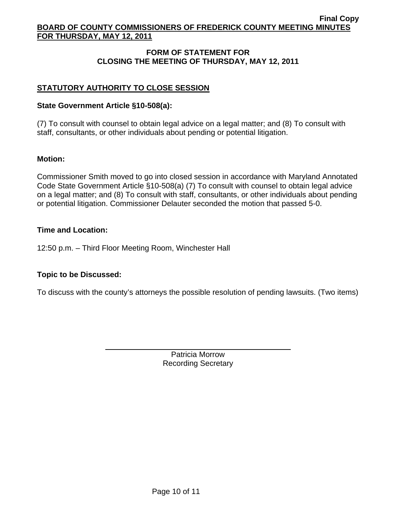# **FORM OF STATEMENT FOR CLOSING THE MEETING OF THURSDAY, MAY 12, 2011**

# **STATUTORY AUTHORITY TO CLOSE SESSION**

## **State Government Article §10-508(a):**

(7) To consult with counsel to obtain legal advice on a legal matter; and (8) To consult with staff, consultants, or other individuals about pending or potential litigation.

# **Motion:**

Commissioner Smith moved to go into closed session in accordance with Maryland Annotated Code State Government Article §10-508(a) (7) To consult with counsel to obtain legal advice on a legal matter; and (8) To consult with staff, consultants, or other individuals about pending or potential litigation. Commissioner Delauter seconded the motion that passed 5-0.

### **Time and Location:**

12:50 p.m. – Third Floor Meeting Room, Winchester Hall

# **Topic to be Discussed:**

 $\overline{a}$ 

To discuss with the county's attorneys the possible resolution of pending lawsuits. (Two items)